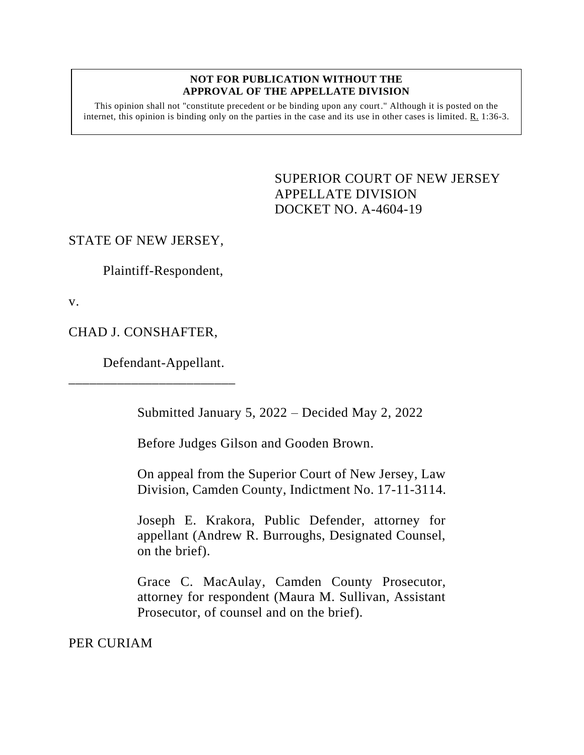## **NOT FOR PUBLICATION WITHOUT THE APPROVAL OF THE APPELLATE DIVISION**

This opinion shall not "constitute precedent or be binding upon any court." Although it is posted on the internet, this opinion is binding only on the parties in the case and its use in other cases is limited. R. 1:36-3.

> <span id="page-0-0"></span>SUPERIOR COURT OF NEW JERSEY APPELLATE DIVISION DOCKET NO. A-4604-19

## STATE OF NEW JERSEY,

Plaintiff-Respondent,

v.

CHAD J. CONSHAFTER,

Defendant-Appellant.

\_\_\_\_\_\_\_\_\_\_\_\_\_\_\_\_\_\_\_\_\_\_\_\_

Submitted January 5, 2022 – Decided May 2, 2022

Before Judges Gilson and Gooden Brown.

On appeal from the Superior Court of New Jersey, Law Division, Camden County, Indictment No. 17-11-3114.

Joseph E. Krakora, Public Defender, attorney for appellant (Andrew R. Burroughs, Designated Counsel, on the brief).

Grace C. MacAulay, Camden County Prosecutor, attorney for respondent (Maura M. Sullivan, Assistant Prosecutor, of counsel and on the brief).

PER CURIAM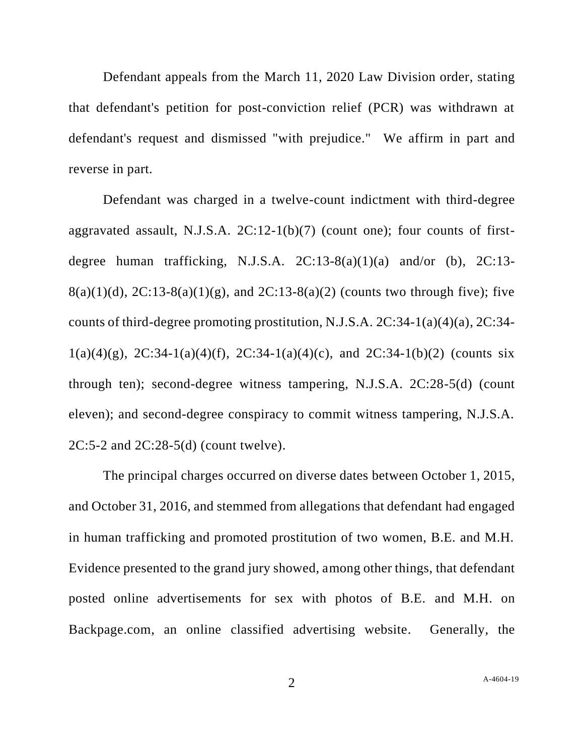Defendant appeals from the March 11, 2020 Law Division order, stating that defendant's petition for post-conviction relief (PCR) was withdrawn at defendant's request and dismissed "with prejudice." We affirm in part and reverse in part.

Defendant was charged in a twelve-count indictment with third-degree aggravated assault, N.J.S.A. 2C:12-1(b)(7) (count one); four counts of firstdegree human trafficking, N.J.S.A.  $2C:13-8(a)(1)(a)$  and/or (b),  $2C:13 8(a)(1)(d)$ ,  $2C:13-8(a)(1)(g)$ , and  $2C:13-8(a)(2)$  (counts two through five); five counts of third-degree promoting prostitution, N.J.S.A. 2C:34-1(a)(4)(a), 2C:34-  $1(a)(4)(g)$ ,  $2C:34-1(a)(4)(f)$ ,  $2C:34-1(a)(4)(c)$ , and  $2C:34-1(b)(2)$  (counts six through ten); second-degree witness tampering, N.J.S.A. 2C:28-5(d) (count eleven); and second-degree conspiracy to commit witness tampering, N.J.S.A. 2C:5-2 and 2C:28-5(d) (count twelve).

The principal charges occurred on diverse dates between October 1, 2015, and October 31, 2016, and stemmed from allegations that defendant had engaged in human trafficking and promoted prostitution of two women, B.E. and M.H. Evidence presented to the grand jury showed, among other things, that defendant posted online advertisements for sex with photos of B.E. and M.H. on Backpage.com, an online classified advertising website. Generally, the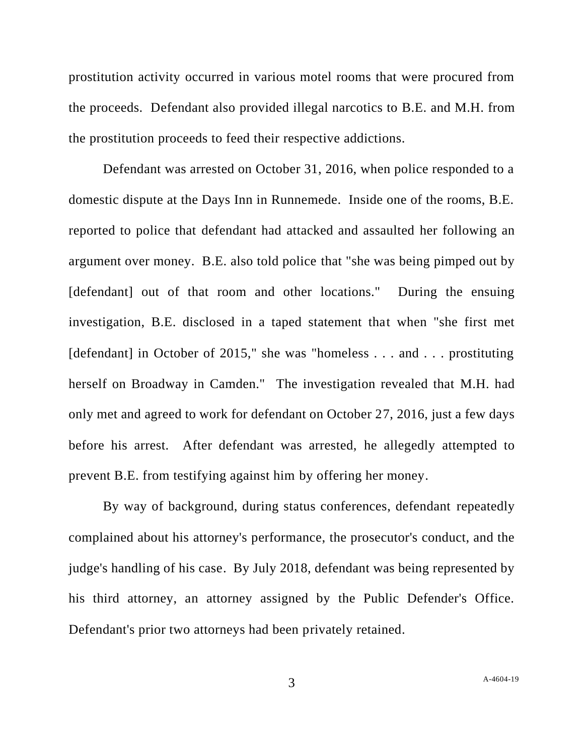prostitution activity occurred in various motel rooms that were procured from the proceeds. Defendant also provided illegal narcotics to B.E. and M.H. from the prostitution proceeds to feed their respective addictions.

Defendant was arrested on October 31, 2016, when police responded to a domestic dispute at the Days Inn in Runnemede. Inside one of the rooms, B.E. reported to police that defendant had attacked and assaulted her following an argument over money. B.E. also told police that "she was being pimped out by [defendant] out of that room and other locations." During the ensuing investigation, B.E. disclosed in a taped statement that when "she first met [defendant] in October of 2015," she was "homeless . . . and . . . prostituting herself on Broadway in Camden." The investigation revealed that M.H. had only met and agreed to work for defendant on October 27, 2016, just a few days before his arrest. After defendant was arrested, he allegedly attempted to prevent B.E. from testifying against him by offering her money.

By way of background, during status conferences, defendant repeatedly complained about his attorney's performance, the prosecutor's conduct, and the judge's handling of his case. By July 2018, defendant was being represented by his third attorney, an attorney assigned by the Public Defender's Office. Defendant's prior two attorneys had been privately retained.

3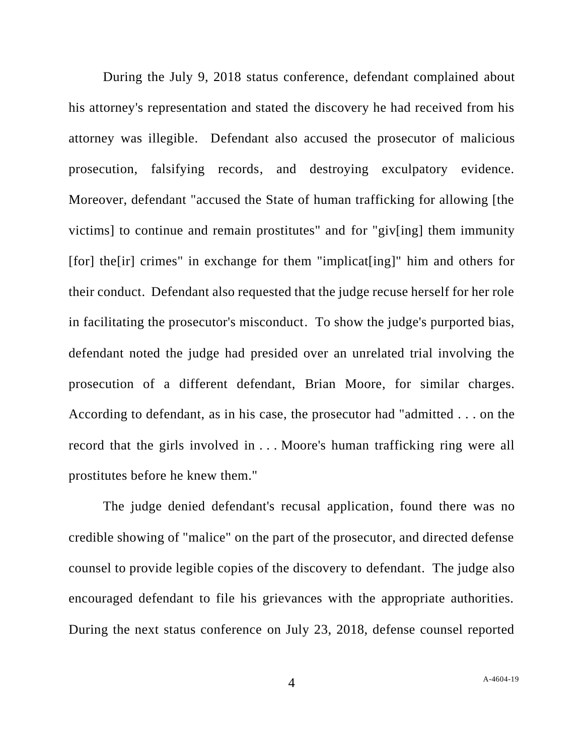During the July 9, 2018 status conference, defendant complained about his attorney's representation and stated the discovery he had received from his attorney was illegible. Defendant also accused the prosecutor of malicious prosecution, falsifying records, and destroying exculpatory evidence. Moreover, defendant "accused the State of human trafficking for allowing [the victims] to continue and remain prostitutes" and for "giv[ing] them immunity [for] the[ir] crimes" in exchange for them "implicat[ing]" him and others for their conduct. Defendant also requested that the judge recuse herself for her role in facilitating the prosecutor's misconduct. To show the judge's purported bias, defendant noted the judge had presided over an unrelated trial involving the prosecution of a different defendant, Brian Moore, for similar charges. According to defendant, as in his case, the prosecutor had "admitted . . . on the record that the girls involved in . . . Moore's human trafficking ring were all prostitutes before he knew them."

The judge denied defendant's recusal application, found there was no credible showing of "malice" on the part of the prosecutor, and directed defense counsel to provide legible copies of the discovery to defendant. The judge also encouraged defendant to file his grievances with the appropriate authorities. During the next status conference on July 23, 2018, defense counsel reported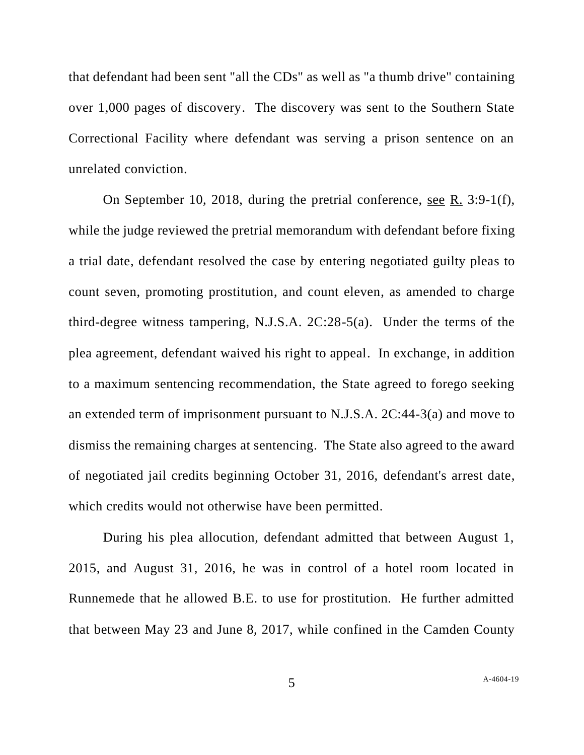that defendant had been sent "all the CDs" as well as "a thumb drive" containing over 1,000 pages of discovery. The discovery was sent to the Southern State Correctional Facility where defendant was serving a prison sentence on an unrelated conviction.

On September 10, 2018, during the pretrial conference, see R. 3:9-1(f), while the judge reviewed the pretrial memorandum with defendant before fixing a trial date, defendant resolved the case by entering negotiated guilty pleas to count seven, promoting prostitution, and count eleven, as amended to charge third-degree witness tampering, N.J.S.A. 2C:28-5(a). Under the terms of the plea agreement, defendant waived his right to appeal. In exchange, in addition to a maximum sentencing recommendation, the State agreed to forego seeking an extended term of imprisonment pursuant to N.J.S.A. 2C:44-3(a) and move to dismiss the remaining charges at sentencing. The State also agreed to the award of negotiated jail credits beginning October 31, 2016, defendant's arrest date, which credits would not otherwise have been permitted.

During his plea allocution, defendant admitted that between August 1, 2015, and August 31, 2016, he was in control of a hotel room located in Runnemede that he allowed B.E. to use for prostitution. He further admitted that between May 23 and June 8, 2017, while confined in the Camden County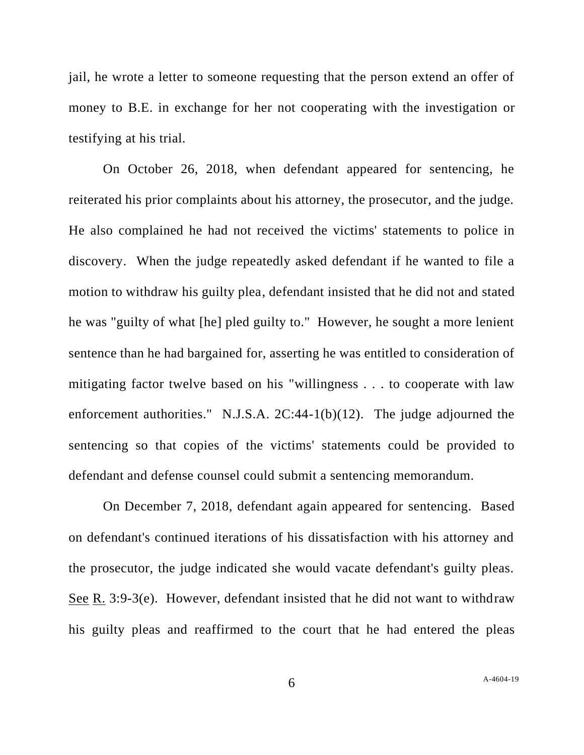jail, he wrote a letter to someone requesting that the person extend an offer of money to B.E. in exchange for her not cooperating with the investigation or testifying at his trial.

On October 26, 2018, when defendant appeared for sentencing, he reiterated his prior complaints about his attorney, the prosecutor, and the judge. He also complained he had not received the victims' statements to police in discovery. When the judge repeatedly asked defendant if he wanted to file a motion to withdraw his guilty plea, defendant insisted that he did not and stated he was "guilty of what [he] pled guilty to." However, he sought a more lenient sentence than he had bargained for, asserting he was entitled to consideration of mitigating factor twelve based on his "willingness . . . to cooperate with law enforcement authorities." N.J.S.A. 2C:44-1(b)(12). The judge adjourned the sentencing so that copies of the victims' statements could be provided to defendant and defense counsel could submit a sentencing memorandum.

On December 7, 2018, defendant again appeared for sentencing. Based on defendant's continued iterations of his dissatisfaction with his attorney and the prosecutor, the judge indicated she would vacate defendant's guilty pleas. See R. 3:9-3(e). However, defendant insisted that he did not want to withdraw his guilty pleas and reaffirmed to the court that he had entered the pleas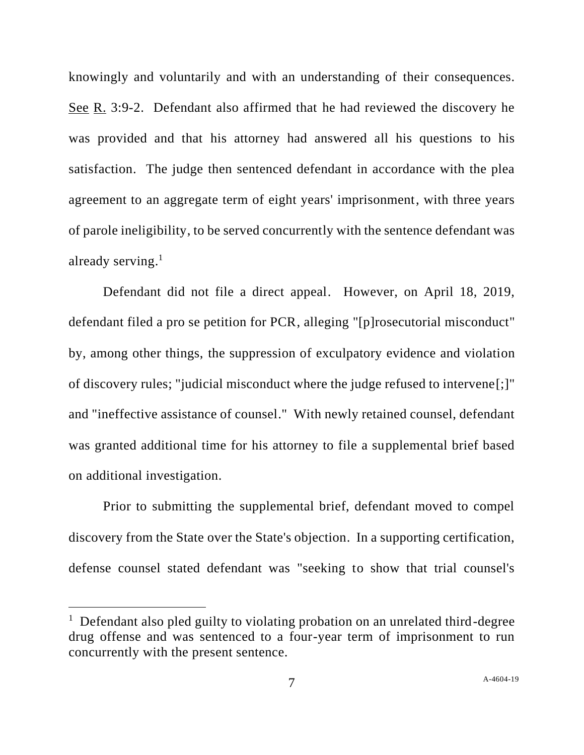knowingly and voluntarily and with an understanding of their consequences. See R. 3:9-2. Defendant also affirmed that he had reviewed the discovery he was provided and that his attorney had answered all his questions to his satisfaction. The judge then sentenced defendant in accordance with the plea agreement to an aggregate term of eight years' imprisonment, with three years of parole ineligibility, to be served concurrently with the sentence defendant was already serving. 1

Defendant did not file a direct appeal. However, on April 18, 2019, defendant filed a pro se petition for PCR, alleging "[p]rosecutorial misconduct" by, among other things, the suppression of exculpatory evidence and violation of discovery rules; "judicial misconduct where the judge refused to intervene[;]" and "ineffective assistance of counsel." With newly retained counsel, defendant was granted additional time for his attorney to file a supplemental brief based on additional investigation.

Prior to submitting the supplemental brief, defendant moved to compel discovery from the State over the State's objection. In a supporting certification, defense counsel stated defendant was "seeking to show that trial counsel's

<sup>&</sup>lt;sup>1</sup> Defendant also pled guilty to violating probation on an unrelated third-degree drug offense and was sentenced to a four-year term of imprisonment to run concurrently with the present sentence.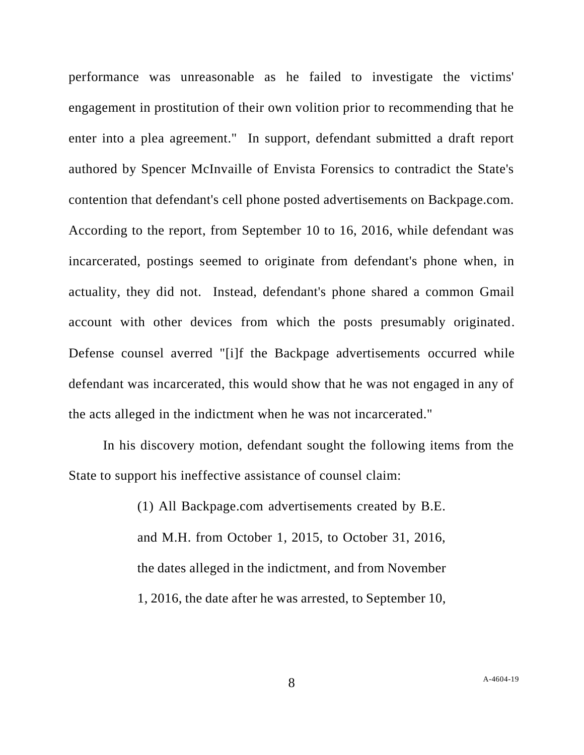performance was unreasonable as he failed to investigate the victims' engagement in prostitution of their own volition prior to recommending that he enter into a plea agreement." In support, defendant submitted a draft report authored by Spencer McInvaille of Envista Forensics to contradict the State's contention that defendant's cell phone posted advertisements on Backpage.com. According to the report, from September 10 to 16, 2016, while defendant was incarcerated, postings seemed to originate from defendant's phone when, in actuality, they did not. Instead, defendant's phone shared a common Gmail account with other devices from which the posts presumably originated. Defense counsel averred "[i]f the Backpage advertisements occurred while defendant was incarcerated, this would show that he was not engaged in any of the acts alleged in the indictment when he was not incarcerated."

In his discovery motion, defendant sought the following items from the State to support his ineffective assistance of counsel claim:

> (1) All Backpage.com advertisements created by B.E. and M.H. from October 1, 2015, to October 31, 2016, the dates alleged in the indictment, and from November 1, 2016, the date after he was arrested, to September 10,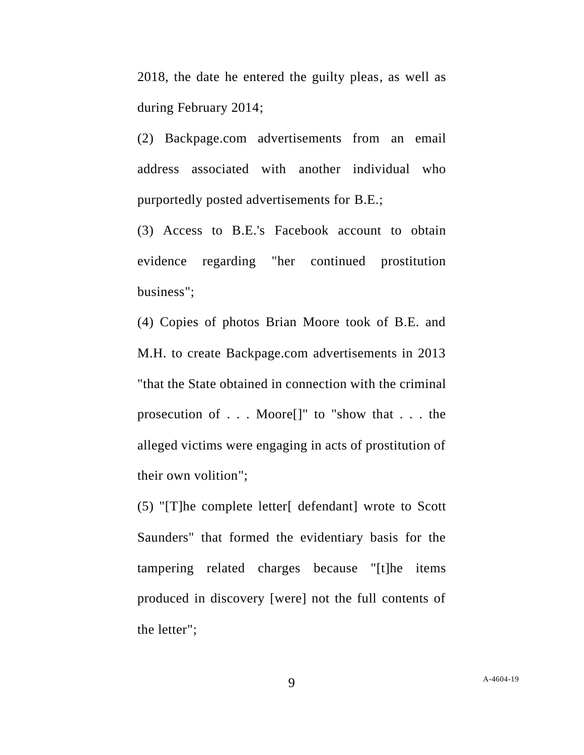2018, the date he entered the guilty pleas, as well as during February 2014;

(2) Backpage.com advertisements from an email address associated with another individual who purportedly posted advertisements for B.E.;

(3) Access to B.E.'s Facebook account to obtain evidence regarding "her continued prostitution business";

(4) Copies of photos Brian Moore took of B.E. and M.H. to create Backpage.com advertisements in 2013 "that the State obtained in connection with the criminal prosecution of . . . Moore[]" to "show that . . . the alleged victims were engaging in acts of prostitution of their own volition";

(5) "[T]he complete letter[ defendant] wrote to Scott Saunders" that formed the evidentiary basis for the tampering related charges because "[t]he items produced in discovery [were] not the full contents of the letter";

9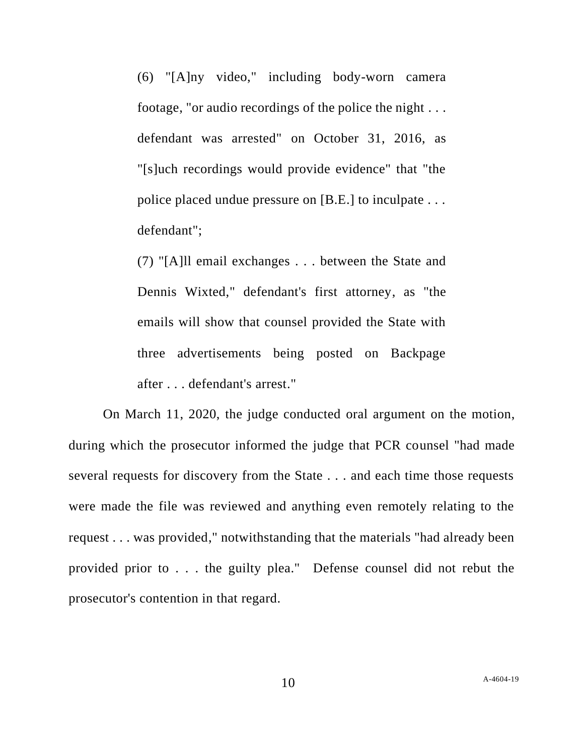(6) "[A]ny video," including body-worn camera footage, "or audio recordings of the police the night . . . defendant was arrested" on October 31, 2016, as "[s]uch recordings would provide evidence" that "the police placed undue pressure on [B.E.] to inculpate . . . defendant";

(7) "[A]ll email exchanges . . . between the State and Dennis Wixted," defendant's first attorney, as "the emails will show that counsel provided the State with three advertisements being posted on Backpage after . . . defendant's arrest."

On March 11, 2020, the judge conducted oral argument on the motion, during which the prosecutor informed the judge that PCR counsel "had made several requests for discovery from the State . . . and each time those requests were made the file was reviewed and anything even remotely relating to the request . . . was provided," notwithstanding that the materials "had already been provided prior to . . . the guilty plea." Defense counsel did not rebut the prosecutor's contention in that regard.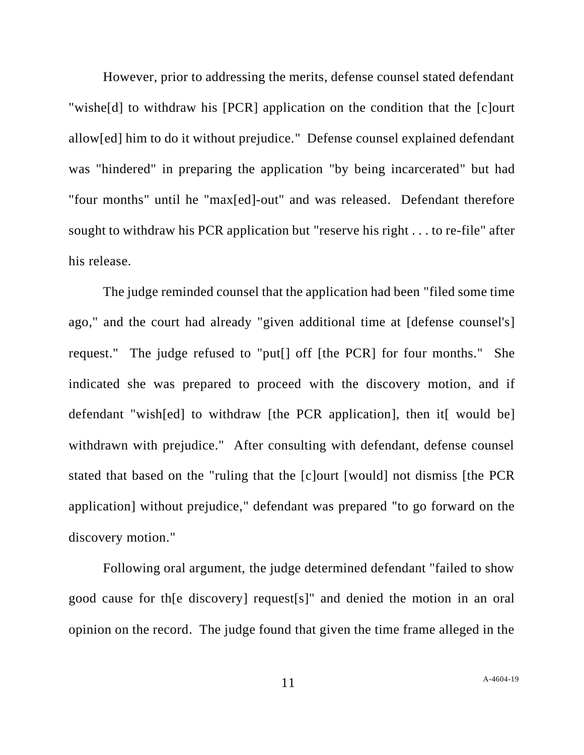However, prior to addressing the merits, defense counsel stated defendant "wishe[d] to withdraw his [PCR] application on the condition that the [c]ourt allow[ed] him to do it without prejudice." Defense counsel explained defendant was "hindered" in preparing the application "by being incarcerated" but had "four months" until he "max[ed]-out" and was released. Defendant therefore sought to withdraw his PCR application but "reserve his right . . . to re-file" after his release.

The judge reminded counsel that the application had been "filed some time ago," and the court had already "given additional time at [defense counsel's] request." The judge refused to "put[] off [the PCR] for four months." She indicated she was prepared to proceed with the discovery motion, and if defendant "wish[ed] to withdraw [the PCR application], then it [would be] withdrawn with prejudice." After consulting with defendant, defense counsel stated that based on the "ruling that the [c]ourt [would] not dismiss [the PCR application] without prejudice," defendant was prepared "to go forward on the discovery motion."

Following oral argument, the judge determined defendant "failed to show good cause for th[e discovery] request[s]" and denied the motion in an oral opinion on the record. The judge found that given the time frame alleged in the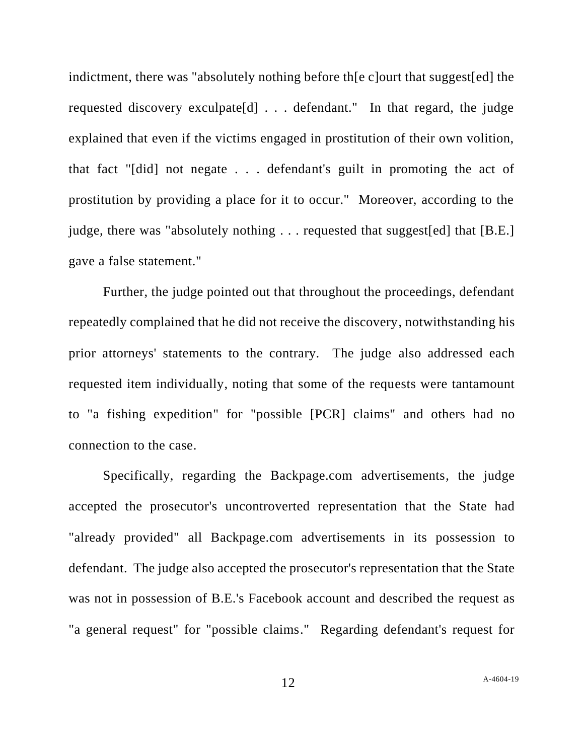indictment, there was "absolutely nothing before th[e c]ourt that suggest[ed] the requested discovery exculpate[d] . . . defendant." In that regard, the judge explained that even if the victims engaged in prostitution of their own volition, that fact "[did] not negate . . . defendant's guilt in promoting the act of prostitution by providing a place for it to occur." Moreover, according to the judge, there was "absolutely nothing . . . requested that suggest[ed] that [B.E.] gave a false statement."

Further, the judge pointed out that throughout the proceedings, defendant repeatedly complained that he did not receive the discovery, notwithstanding his prior attorneys' statements to the contrary. The judge also addressed each requested item individually, noting that some of the requests were tantamount to "a fishing expedition" for "possible [PCR] claims" and others had no connection to the case.

Specifically, regarding the Backpage.com advertisements, the judge accepted the prosecutor's uncontroverted representation that the State had "already provided" all Backpage.com advertisements in its possession to defendant. The judge also accepted the prosecutor's representation that the State was not in possession of B.E.'s Facebook account and described the request as "a general request" for "possible claims." Regarding defendant's request for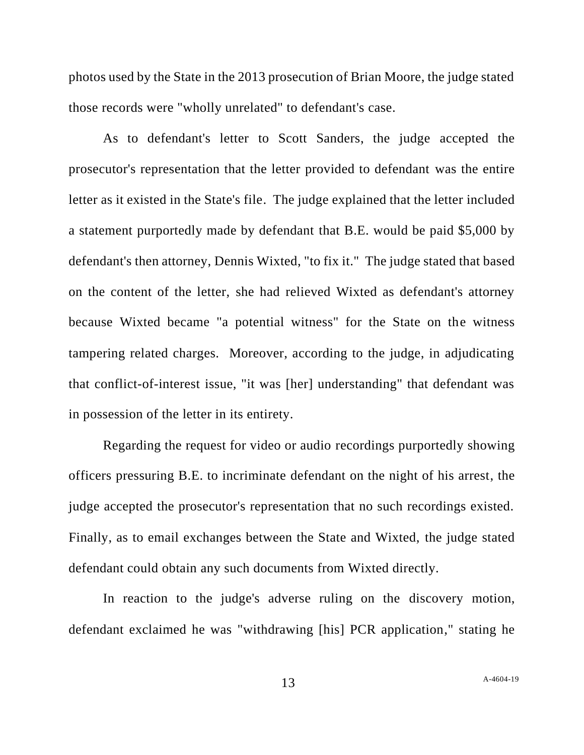photos used by the State in the 2013 prosecution of Brian Moore, the judge stated those records were "wholly unrelated" to defendant's case.

As to defendant's letter to Scott Sanders, the judge accepted the prosecutor's representation that the letter provided to defendant was the entire letter as it existed in the State's file. The judge explained that the letter included a statement purportedly made by defendant that B.E. would be paid \$5,000 by defendant's then attorney, Dennis Wixted, "to fix it." The judge stated that based on the content of the letter, she had relieved Wixted as defendant's attorney because Wixted became "a potential witness" for the State on the witness tampering related charges. Moreover, according to the judge, in adjudicating that conflict-of-interest issue, "it was [her] understanding" that defendant was in possession of the letter in its entirety.

Regarding the request for video or audio recordings purportedly showing officers pressuring B.E. to incriminate defendant on the night of his arrest, the judge accepted the prosecutor's representation that no such recordings existed. Finally, as to email exchanges between the State and Wixted, the judge stated defendant could obtain any such documents from Wixted directly.

In reaction to the judge's adverse ruling on the discovery motion, defendant exclaimed he was "withdrawing [his] PCR application," stating he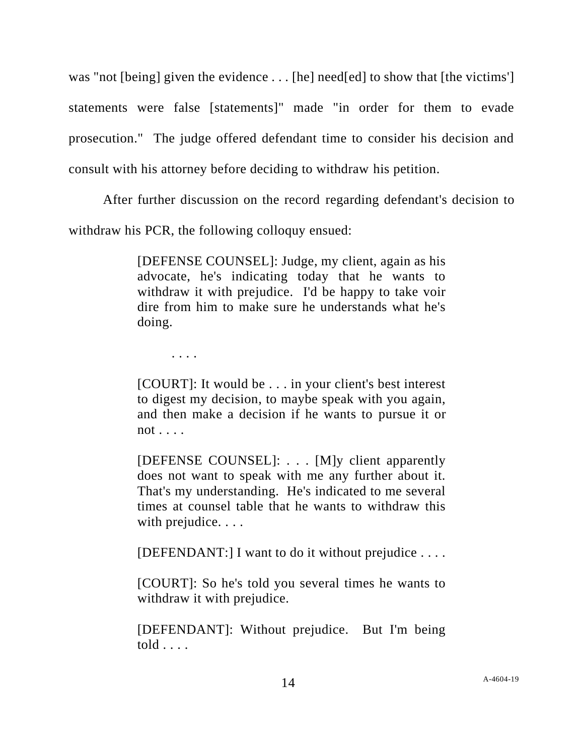was "not [being] given the evidence ... [he] need[ed] to show that [the victims] statements were false [statements]" made "in order for them to evade prosecution." The judge offered defendant time to consider his decision and consult with his attorney before deciding to withdraw his petition.

After further discussion on the record regarding defendant's decision to

withdraw his PCR, the following colloquy ensued:

[DEFENSE COUNSEL]: Judge, my client, again as his advocate, he's indicating today that he wants to withdraw it with prejudice. I'd be happy to take voir dire from him to make sure he understands what he's doing.

. . . .

[COURT]: It would be . . . in your client's best interest to digest my decision, to maybe speak with you again, and then make a decision if he wants to pursue it or not . . . .

[DEFENSE COUNSEL]: . . . [M]y client apparently does not want to speak with me any further about it. That's my understanding. He's indicated to me several times at counsel table that he wants to withdraw this with prejudice. . . .

 $[DEFENDANT:]$  I want to do it without prejudice  $\ldots$ .

[COURT]: So he's told you several times he wants to withdraw it with prejudice.

[DEFENDANT]: Without prejudice. But I'm being told . . . .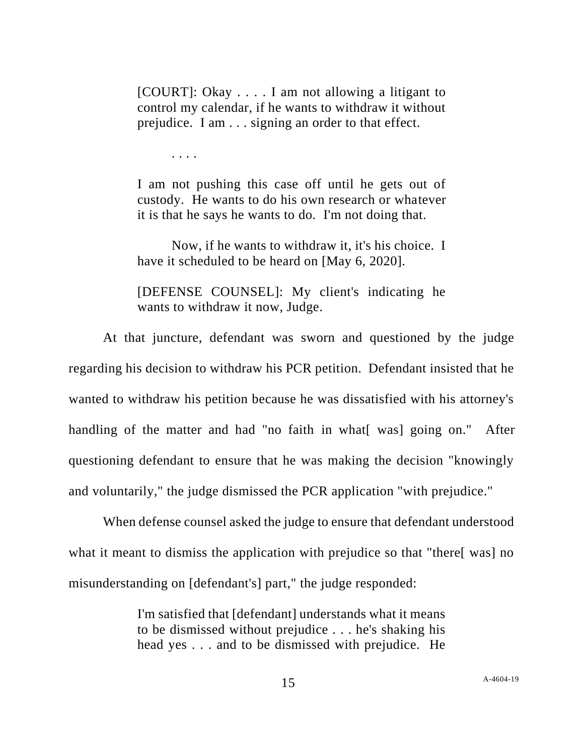[COURT]: Okay . . . . I am not allowing a litigant to control my calendar, if he wants to withdraw it without prejudice. I am . . . signing an order to that effect.

. . . .

I am not pushing this case off until he gets out of custody. He wants to do his own research or whatever it is that he says he wants to do. I'm not doing that.

Now, if he wants to withdraw it, it's his choice. I have it scheduled to be heard on [May 6, 2020].

[DEFENSE COUNSEL]: My client's indicating he wants to withdraw it now, Judge.

At that juncture, defendant was sworn and questioned by the judge regarding his decision to withdraw his PCR petition. Defendant insisted that he wanted to withdraw his petition because he was dissatisfied with his attorney's handling of the matter and had "no faith in what was going on." After questioning defendant to ensure that he was making the decision "knowingly and voluntarily," the judge dismissed the PCR application "with prejudice."

When defense counsel asked the judge to ensure that defendant understood what it meant to dismiss the application with prejudice so that "there<sup>[was]</sup> no misunderstanding on [defendant's] part," the judge responded:

> I'm satisfied that [defendant] understands what it means to be dismissed without prejudice . . . he's shaking his head yes . . . and to be dismissed with prejudice. He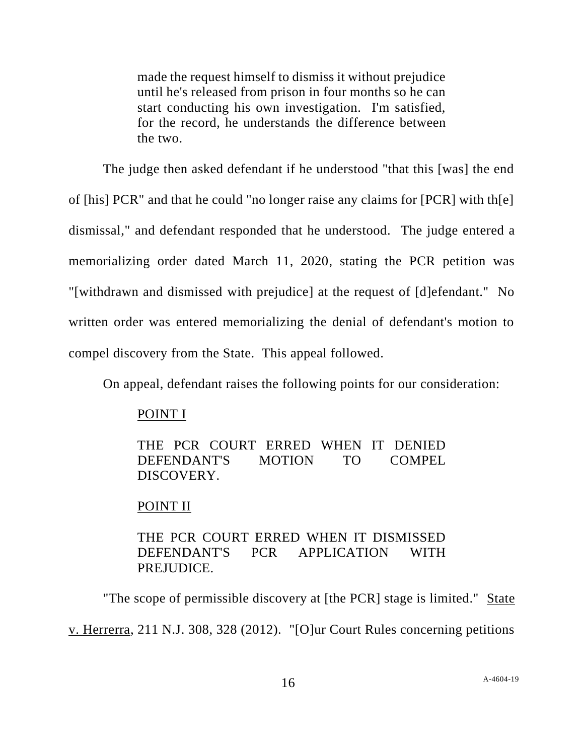made the request himself to dismiss it without prejudice until he's released from prison in four months so he can start conducting his own investigation. I'm satisfied, for the record, he understands the difference between the two.

The judge then asked defendant if he understood "that this [was] the end of [his] PCR" and that he could "no longer raise any claims for [PCR] with th[e] dismissal," and defendant responded that he understood. The judge entered a memorializing order dated March 11, 2020, stating the PCR petition was "[withdrawn and dismissed with prejudice] at the request of [d]efendant." No written order was entered memorializing the denial of defendant's motion to compel discovery from the State. This appeal followed.

On appeal, defendant raises the following points for our consideration:

POINT I

THE PCR COURT ERRED WHEN IT DENIED DEFENDANT'S MOTION TO COMPEL DISCOVERY.

## POINT II

## THE PCR COURT ERRED WHEN IT DISMISSED DEFENDANT'S PCR APPLICATION WITH PREJUDICE.

"The scope of permissible discovery at [the PCR] stage is limited." State v. Herrerra, 211 N.J. 308, 328 (2012). "[O]ur Court Rules concerning petitions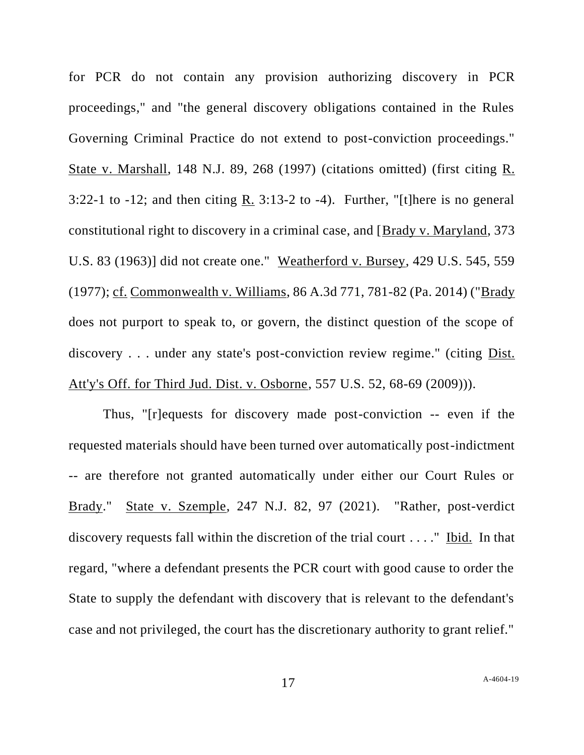for PCR do not contain any provision authorizing discovery in PCR proceedings," and "the general discovery obligations contained in the Rules Governing Criminal Practice do not extend to post-conviction proceedings." State v. Marshall, 148 N.J. 89, 268 (1997) (citations omitted) (first citing R. 3:22-1 to -12; and then citing R. 3:13-2 to -4). Further, "[t]here is no general constitutional right to discovery in a criminal case, and [Brady v. Maryland, 373 U.S. 83 (1963)] did not create one." Weatherford v. Bursey, 429 U.S. 545, 559 (1977); cf. Commonwealth v. Williams, 86 A.3d 771, 781-82 (Pa. 2014) ("Brady does not purport to speak to, or govern, the distinct question of the scope of discovery . . . under any state's post-conviction review regime." (citing Dist. Att'y's Off. for Third Jud. Dist. v. Osborne, 557 U.S. 52, 68-69 (2009))).

Thus, "[r]equests for discovery made post-conviction -- even if the requested materials should have been turned over automatically post-indictment -- are therefore not granted automatically under either our Court Rules or Brady." State v. Szemple, 247 N.J. 82, 97 (2021). "Rather, post-verdict discovery requests fall within the discretion of the trial court . . . ." Ibid. In that regard, "where a defendant presents the PCR court with good cause to order the State to supply the defendant with discovery that is relevant to the defendant's case and not privileged, the court has the discretionary authority to grant relief."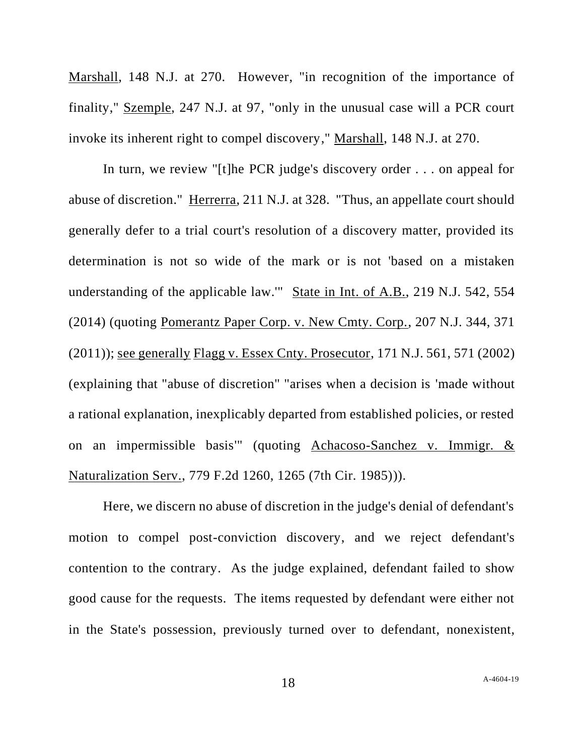Marshall, 148 N.J. at 270. However, "in recognition of the importance of finality," Szemple, 247 N.J. at 97, "only in the unusual case will a PCR court invoke its inherent right to compel discovery," Marshall, 148 N.J. at 270.

In turn, we review "[t]he PCR judge's discovery order . . . on appeal for abuse of discretion." Herrerra, 211 N.J. at 328. "Thus, an appellate court should generally defer to a trial court's resolution of a discovery matter, provided its determination is not so wide of the mark or is not 'based on a mistaken understanding of the applicable law.'" State in Int. of A.B., 219 N.J. 542, 554 (2014) (quoting Pomerantz Paper Corp. v. New Cmty. Corp., 207 N.J. 344, 371 (2011)); see generally Flagg v. Essex Cnty. Prosecutor, 171 N.J. 561, 571 (2002) (explaining that "abuse of discretion" "arises when a decision is 'made without a rational explanation, inexplicably departed from established policies, or rested on an impermissible basis'" (quoting Achacoso-Sanchez v. Immigr. & Naturalization Serv., 779 F.2d 1260, 1265 (7th Cir. 1985))).

Here, we discern no abuse of discretion in the judge's denial of defendant's motion to compel post-conviction discovery, and we reject defendant's contention to the contrary. As the judge explained, defendant failed to show good cause for the requests. The items requested by defendant were either not in the State's possession, previously turned over to defendant, nonexistent,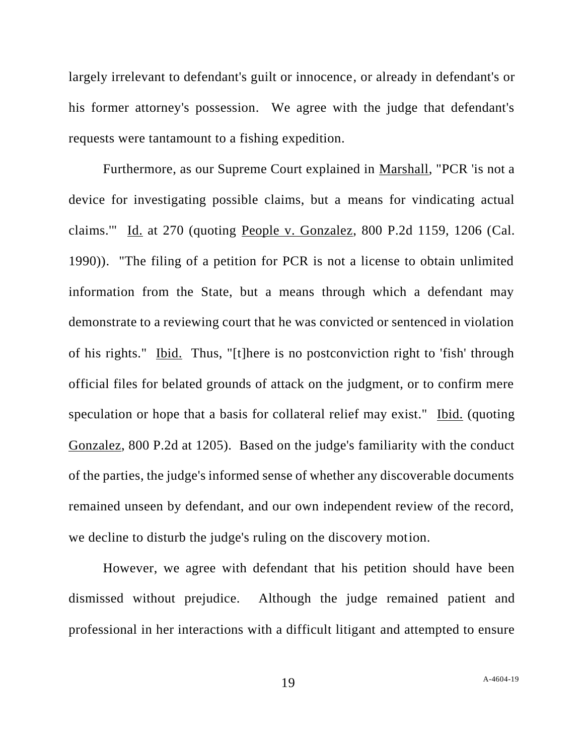largely irrelevant to defendant's guilt or innocence, or already in defendant's or his former attorney's possession. We agree with the judge that defendant's requests were tantamount to a fishing expedition.

Furthermore, as our Supreme Court explained in Marshall, "PCR 'is not a device for investigating possible claims, but a means for vindicating actual claims.'" Id. at 270 (quoting People v. Gonzalez, 800 P.2d 1159, 1206 (Cal. 1990)). "The filing of a petition for PCR is not a license to obtain unlimited information from the State, but a means through which a defendant may demonstrate to a reviewing court that he was convicted or sentenced in violation of his rights." Ibid. Thus, "[t]here is no postconviction right to 'fish' through official files for belated grounds of attack on the judgment, or to confirm mere speculation or hope that a basis for collateral relief may exist." Ibid. (quoting Gonzalez, 800 P.2d at 1205). Based on the judge's familiarity with the conduct of the parties, the judge's informed sense of whether any discoverable documents remained unseen by defendant, and our own independent review of the record, we decline to disturb the judge's ruling on the discovery motion.

However, we agree with defendant that his petition should have been dismissed without prejudice. Although the judge remained patient and professional in her interactions with a difficult litigant and attempted to ensure